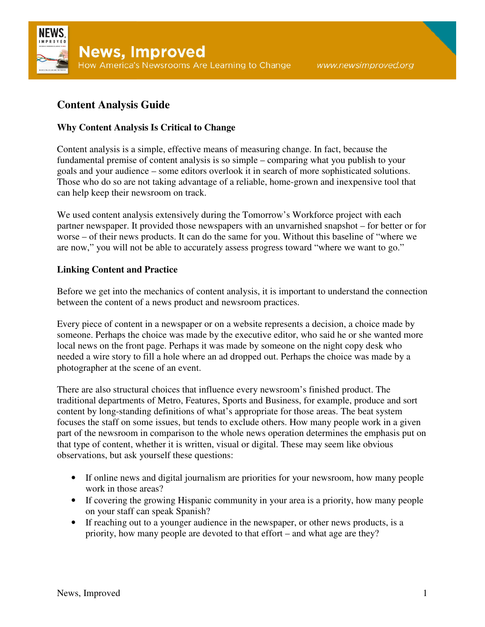

# **Content Analysis Guide**

# **Why Content Analysis Is Critical to Change**

Content analysis is a simple, effective means of measuring change. In fact, because the fundamental premise of content analysis is so simple – comparing what you publish to your goals and your audience – some editors overlook it in search of more sophisticated solutions. Those who do so are not taking advantage of a reliable, home-grown and inexpensive tool that can help keep their newsroom on track.

We used content analysis extensively during the Tomorrow's Workforce project with each partner newspaper. It provided those newspapers with an unvarnished snapshot – for better or for worse – of their news products. It can do the same for you. Without this baseline of "where we are now," you will not be able to accurately assess progress toward "where we want to go."

# **Linking Content and Practice**

Before we get into the mechanics of content analysis, it is important to understand the connection between the content of a news product and newsroom practices.

Every piece of content in a newspaper or on a website represents a decision, a choice made by someone. Perhaps the choice was made by the executive editor, who said he or she wanted more local news on the front page. Perhaps it was made by someone on the night copy desk who needed a wire story to fill a hole where an ad dropped out. Perhaps the choice was made by a photographer at the scene of an event.

There are also structural choices that influence every newsroom's finished product. The traditional departments of Metro, Features, Sports and Business, for example, produce and sort content by long-standing definitions of what's appropriate for those areas. The beat system focuses the staff on some issues, but tends to exclude others. How many people work in a given part of the newsroom in comparison to the whole news operation determines the emphasis put on that type of content, whether it is written, visual or digital. These may seem like obvious observations, but ask yourself these questions:

- If online news and digital journalism are priorities for your newsroom, how many people work in those areas?
- If covering the growing Hispanic community in your area is a priority, how many people on your staff can speak Spanish?
- If reaching out to a younger audience in the newspaper, or other news products, is a priority, how many people are devoted to that effort – and what age are they?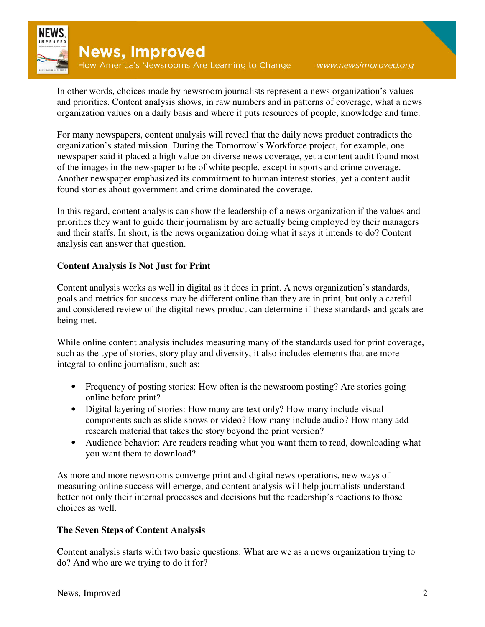

In other words, choices made by newsroom journalists represent a news organization's values and priorities. Content analysis shows, in raw numbers and in patterns of coverage, what a news organization values on a daily basis and where it puts resources of people, knowledge and time.

For many newspapers, content analysis will reveal that the daily news product contradicts the organization's stated mission. During the Tomorrow's Workforce project, for example, one newspaper said it placed a high value on diverse news coverage, yet a content audit found most of the images in the newspaper to be of white people, except in sports and crime coverage. Another newspaper emphasized its commitment to human interest stories, yet a content audit found stories about government and crime dominated the coverage.

In this regard, content analysis can show the leadership of a news organization if the values and priorities they want to guide their journalism by are actually being employed by their managers and their staffs. In short, is the news organization doing what it says it intends to do? Content analysis can answer that question.

### **Content Analysis Is Not Just for Print**

Content analysis works as well in digital as it does in print. A news organization's standards, goals and metrics for success may be different online than they are in print, but only a careful and considered review of the digital news product can determine if these standards and goals are being met.

While online content analysis includes measuring many of the standards used for print coverage, such as the type of stories, story play and diversity, it also includes elements that are more integral to online journalism, such as:

- Frequency of posting stories: How often is the newsroom posting? Are stories going online before print?
- Digital layering of stories: How many are text only? How many include visual components such as slide shows or video? How many include audio? How many add research material that takes the story beyond the print version?
- Audience behavior: Are readers reading what you want them to read, downloading what you want them to download?

As more and more newsrooms converge print and digital news operations, new ways of measuring online success will emerge, and content analysis will help journalists understand better not only their internal processes and decisions but the readership's reactions to those choices as well.

### **The Seven Steps of Content Analysis**

Content analysis starts with two basic questions: What are we as a news organization trying to do? And who are we trying to do it for?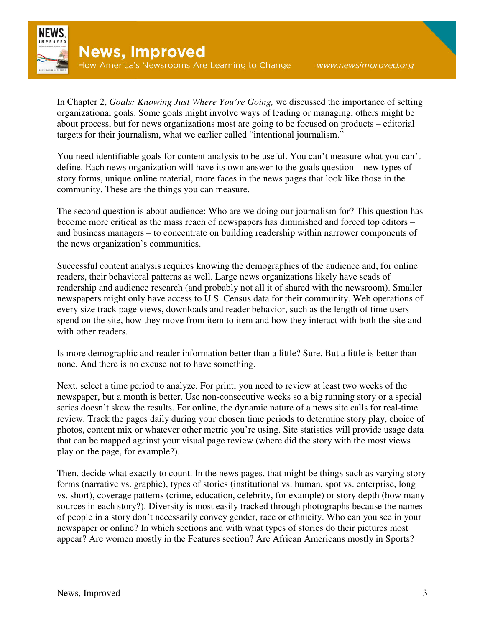

In Chapter 2, *Goals: Knowing Just Where You're Going,* we discussed the importance of setting organizational goals. Some goals might involve ways of leading or managing, others might be about process, but for news organizations most are going to be focused on products – editorial targets for their journalism, what we earlier called "intentional journalism."

You need identifiable goals for content analysis to be useful. You can't measure what you can't define. Each news organization will have its own answer to the goals question – new types of story forms, unique online material, more faces in the news pages that look like those in the community. These are the things you can measure.

The second question is about audience: Who are we doing our journalism for? This question has become more critical as the mass reach of newspapers has diminished and forced top editors – and business managers – to concentrate on building readership within narrower components of the news organization's communities.

Successful content analysis requires knowing the demographics of the audience and, for online readers, their behavioral patterns as well. Large news organizations likely have scads of readership and audience research (and probably not all it of shared with the newsroom). Smaller newspapers might only have access to U.S. Census data for their community. Web operations of every size track page views, downloads and reader behavior, such as the length of time users spend on the site, how they move from item to item and how they interact with both the site and with other readers.

Is more demographic and reader information better than a little? Sure. But a little is better than none. And there is no excuse not to have something.

Next, select a time period to analyze. For print, you need to review at least two weeks of the newspaper, but a month is better. Use non-consecutive weeks so a big running story or a special series doesn't skew the results. For online, the dynamic nature of a news site calls for real-time review. Track the pages daily during your chosen time periods to determine story play, choice of photos, content mix or whatever other metric you're using. Site statistics will provide usage data that can be mapped against your visual page review (where did the story with the most views play on the page, for example?).

Then, decide what exactly to count. In the news pages, that might be things such as varying story forms (narrative vs. graphic), types of stories (institutional vs. human, spot vs. enterprise, long vs. short), coverage patterns (crime, education, celebrity, for example) or story depth (how many sources in each story?). Diversity is most easily tracked through photographs because the names of people in a story don't necessarily convey gender, race or ethnicity. Who can you see in your newspaper or online? In which sections and with what types of stories do their pictures most appear? Are women mostly in the Features section? Are African Americans mostly in Sports?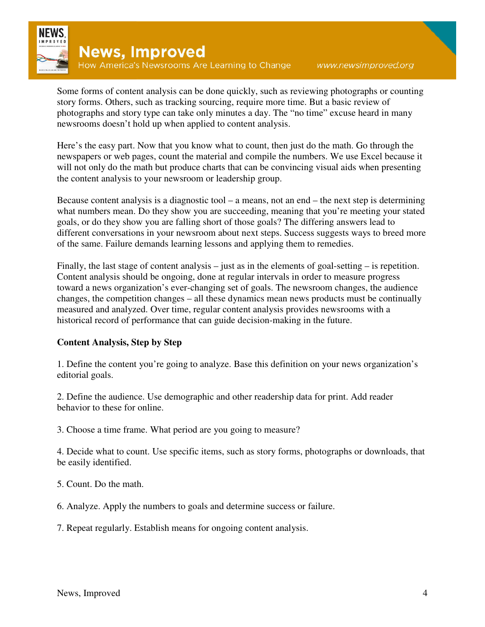

Some forms of content analysis can be done quickly, such as reviewing photographs or counting story forms. Others, such as tracking sourcing, require more time. But a basic review of photographs and story type can take only minutes a day. The "no time" excuse heard in many newsrooms doesn't hold up when applied to content analysis.

Here's the easy part. Now that you know what to count, then just do the math. Go through the newspapers or web pages, count the material and compile the numbers. We use Excel because it will not only do the math but produce charts that can be convincing visual aids when presenting the content analysis to your newsroom or leadership group.

Because content analysis is a diagnostic tool – a means, not an end – the next step is determining what numbers mean. Do they show you are succeeding, meaning that you're meeting your stated goals, or do they show you are falling short of those goals? The differing answers lead to different conversations in your newsroom about next steps. Success suggests ways to breed more of the same. Failure demands learning lessons and applying them to remedies.

Finally, the last stage of content analysis – just as in the elements of goal-setting – is repetition. Content analysis should be ongoing, done at regular intervals in order to measure progress toward a news organization's ever-changing set of goals. The newsroom changes, the audience changes, the competition changes – all these dynamics mean news products must be continually measured and analyzed. Over time, regular content analysis provides newsrooms with a historical record of performance that can guide decision-making in the future.

### **Content Analysis, Step by Step**

1. Define the content you're going to analyze. Base this definition on your news organization's editorial goals.

2. Define the audience. Use demographic and other readership data for print. Add reader behavior to these for online.

3. Choose a time frame. What period are you going to measure?

4. Decide what to count. Use specific items, such as story forms, photographs or downloads, that be easily identified.

5. Count. Do the math.

6. Analyze. Apply the numbers to goals and determine success or failure.

7. Repeat regularly. Establish means for ongoing content analysis.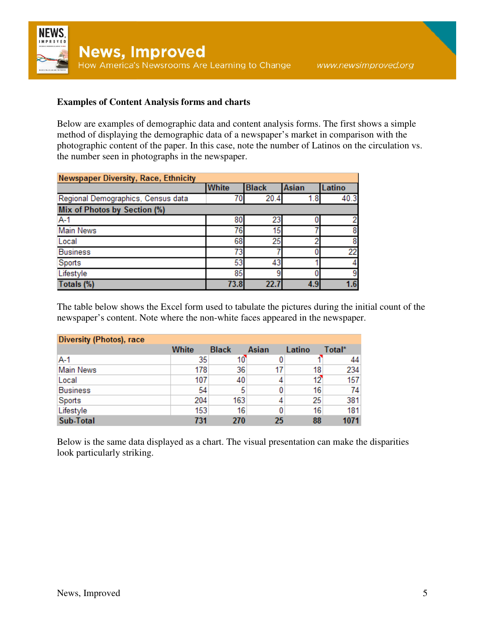

### **Examples of Content Analysis forms and charts**

Below are examples of demographic data and content analysis forms. The first shows a simple method of displaying the demographic data of a newspaper's market in comparison with the photographic content of the paper. In this case, note the number of Latinos on the circulation vs. the number seen in photographs in the newspaper.

| <b>Newspaper Diversity, Race, Ethnicity</b> |              |              |       |        |  |  |  |  |
|---------------------------------------------|--------------|--------------|-------|--------|--|--|--|--|
|                                             | <b>White</b> | <b>Black</b> | Asian | Latino |  |  |  |  |
| Regional Demographics, Census data          |              | 20.4         | 1.8   | 40.3   |  |  |  |  |
| Mix of Photos by Section (%)                |              |              |       |        |  |  |  |  |
| $A-1$                                       | 80           | 23           |       |        |  |  |  |  |
| <b>Main News</b>                            | 76           | 15           |       |        |  |  |  |  |
| Local                                       | 68           | 25           | o     | 8      |  |  |  |  |
| <b>Business</b>                             | 73           |              |       | 22     |  |  |  |  |
| Sports                                      | 53           | 43           |       |        |  |  |  |  |
| Lifestyle                                   | 85           |              |       | 9      |  |  |  |  |
| Totals (%)                                  | 73.8         | 22.1         | 4.9   | 1.6    |  |  |  |  |

The table below shows the Excel form used to tabulate the pictures during the initial count of the newspaper's content. Note where the non-white faces appeared in the newspaper.

| <b>Diversity (Photos), race</b> |              |              |       |        |        |
|---------------------------------|--------------|--------------|-------|--------|--------|
|                                 | <b>White</b> | <b>Black</b> | Asian | Latino | Total* |
| $A-1$                           | 35           | 10           |       |        | 44     |
| <b>Main News</b>                | 178          | 36           | 17    | 18     | 234    |
| Local                           | 107          | 40           |       | 12     | 157    |
| <b>Business</b>                 | 54           | 5            |       | 16     | 74     |
| Sports                          | 204          | 163          |       | 25     | 381    |
| Lifestyle                       | 153          | 16           |       | 16     | 181    |
| Sub-Total                       | 731          | 270          | 25    | 88     | 1071   |

Below is the same data displayed as a chart. The visual presentation can make the disparities look particularly striking.